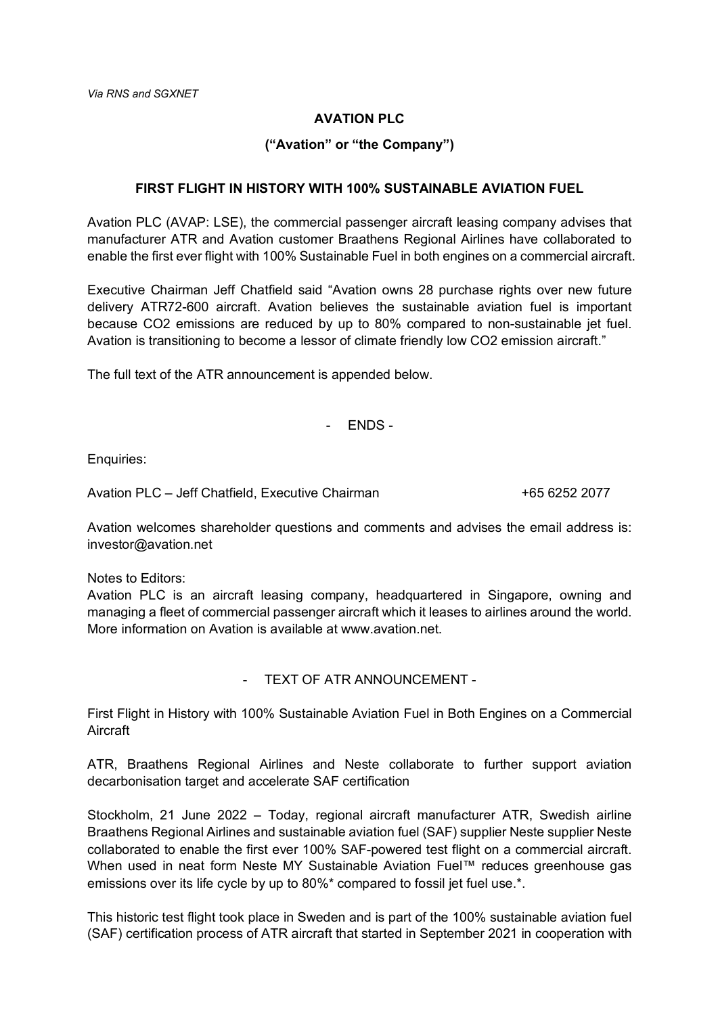## **AVATION PLC**

## **("Avation" or "the Company")**

## **FIRST FLIGHT IN HISTORY WITH 100% SUSTAINABLE AVIATION FUEL**

Avation PLC (AVAP: LSE), the commercial passenger aircraft leasing company advises that manufacturer ATR and Avation customer Braathens Regional Airlines have collaborated to enable the first ever flight with 100% Sustainable Fuel in both engines on a commercial aircraft.

Executive Chairman Jeff Chatfield said "Avation owns 28 purchase rights over new future delivery ATR72-600 aircraft. Avation believes the sustainable aviation fuel is important because CO2 emissions are reduced by up to 80% compared to non-sustainable jet fuel. Avation is transitioning to become a lessor of climate friendly low CO2 emission aircraft."

The full text of the ATR announcement is appended below.

- ENDS -

Enquiries:

Avation PLC – Jeff Chatfield, Executive Chairman +  $\frac{1}{65}$  6252 2077

Avation welcomes shareholder questions and comments and advises the email address is: investor@avation.net

Notes to Editors:

Avation PLC is an aircraft leasing company, headquartered in Singapore, owning and managing a fleet of commercial passenger aircraft which it leases to airlines around the world. More information on Avation is available at www.avation.net.

- TEXT OF ATR ANNOUNCEMENT -

First Flight in History with 100% Sustainable Aviation Fuel in Both Engines on a Commercial Aircraft

ATR, Braathens Regional Airlines and Neste collaborate to further support aviation decarbonisation target and accelerate SAF certification

Stockholm, 21 June 2022 – Today, regional aircraft manufacturer ATR, Swedish airline Braathens Regional Airlines and sustainable aviation fuel (SAF) supplier Neste supplier Neste collaborated to enable the first ever 100% SAF-powered test flight on a commercial aircraft. When used in neat form Neste MY Sustainable Aviation Fuel™ reduces greenhouse gas emissions over its life cycle by up to 80%\* compared to fossil jet fuel use.\*.

This historic test flight took place in Sweden and is part of the 100% sustainable aviation fuel (SAF) certification process of ATR aircraft that started in September 2021 in cooperation with